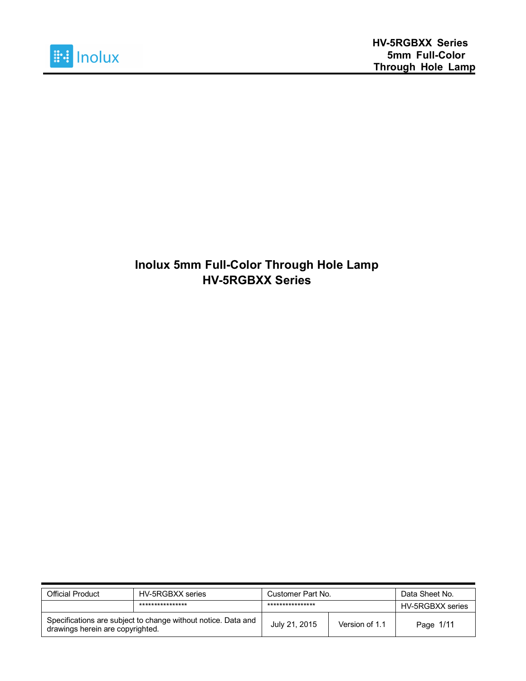

#### **Inolux 5mm Full-Color Through Hole Lamp HV-5RGBXX Series**

| Official Product                                                                                  | HV-5RGBXX series | Customer Part No. |                | Data Sheet No.   |
|---------------------------------------------------------------------------------------------------|------------------|-------------------|----------------|------------------|
|                                                                                                   | **************** | ****************  |                | HV-5RGBXX series |
| Specifications are subject to change without notice. Data and<br>drawings herein are copyrighted. |                  | July 21, 2015     | Version of 1.1 | Page 1/11        |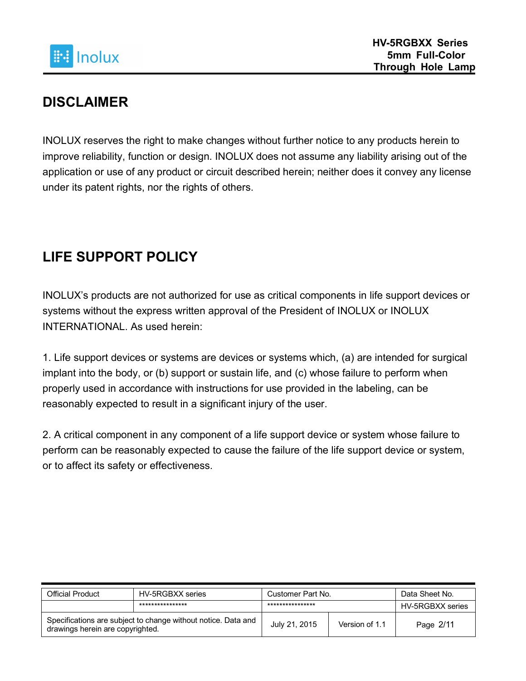

### **DISCLAIMER**

INOLUX reserves the right to make changes without further notice to any products herein to improve reliability, function or design. INOLUX does not assume any liability arising out of the application or use of any product or circuit described herein; neither does it convey any license under its patent rights, nor the rights of others.

# **LIFE SUPPORT POLICY**

INOLUX's products are not authorized for use as critical components in life support devices or systems without the express written approval of the President of INOLUX or INOLUX INTERNATIONAL. As used herein:

1. Life support devices or systems are devices or systems which, (a) are intended for surgical implant into the body, or (b) support or sustain life, and (c) whose failure to perform when properly used in accordance with instructions for use provided in the labeling, can be reasonably expected to result in a significant injury of the user.

2. A critical component in any component of a life support device or system whose failure to perform can be reasonably expected to cause the failure of the life support device or system, or to affect its safety or effectiveness.

| <b>Official Product</b>                                                                           | HV-5RGBXX series | Customer Part No. |                | Data Sheet No.   |
|---------------------------------------------------------------------------------------------------|------------------|-------------------|----------------|------------------|
|                                                                                                   | **************** | ****************  |                | HV-5RGBXX series |
| Specifications are subject to change without notice. Data and<br>drawings herein are copyrighted. |                  | July 21, 2015     | Version of 1.1 | Page 2/11        |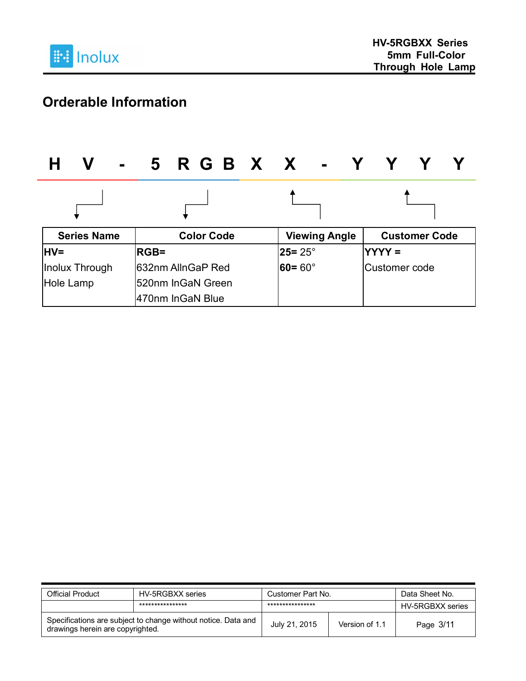

# **Orderable Information**

| V<br>$\blacksquare$ | 5 R G B X X - '    |                             |                      |
|---------------------|--------------------|-----------------------------|----------------------|
|                     |                    |                             |                      |
| <b>Series Name</b>  | <b>Color Code</b>  | <b>Viewing Angle</b>        | <b>Customer Code</b> |
| <b>IHV=</b>         | <b>RGB=</b>        | $25 = 25^{\circ}$           | $YYYY =$             |
| Inolux Through      | 1632nm AllnGaP Red | $\bm{60} = \bm{60}^{\circ}$ | Customer code        |
| Hole Lamp           | 520nm InGaN Green  |                             |                      |
|                     | 470nm InGaN Blue   |                             |                      |

| Official Product                                                                                  | HV-5RGBXX series | Customer Part No. |                | Data Sheet No.   |
|---------------------------------------------------------------------------------------------------|------------------|-------------------|----------------|------------------|
|                                                                                                   | **************** | ****************  |                | HV-5RGBXX series |
| Specifications are subject to change without notice. Data and<br>drawings herein are copyrighted. |                  | July 21, 2015     | Version of 1.1 | Page 3/11        |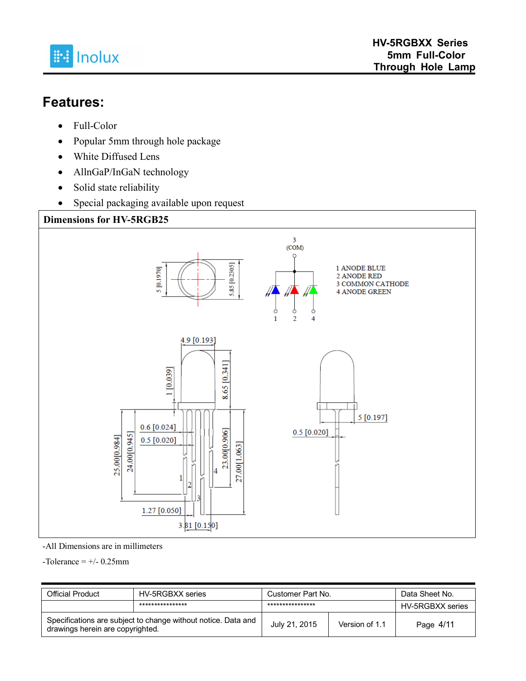

#### **Features:**

- Full-Color
- Popular 5mm through hole package
- White Diffused Lens
- AllnGaP/InGaN technology
- Solid state reliability
- Special packaging available upon request



-All Dimensions are in millimeters

 $-$ Tolerance  $= +/- 0.25$ mm

| <b>Official Product</b>                                                                           | HV-5RGBXX series | Customer Part No. |                | Data Sheet No.   |
|---------------------------------------------------------------------------------------------------|------------------|-------------------|----------------|------------------|
|                                                                                                   | **************** | ****************  |                | HV-5RGBXX series |
| Specifications are subject to change without notice. Data and<br>drawings herein are copyrighted. |                  | July 21, 2015     | Version of 1.1 | Page 4/11        |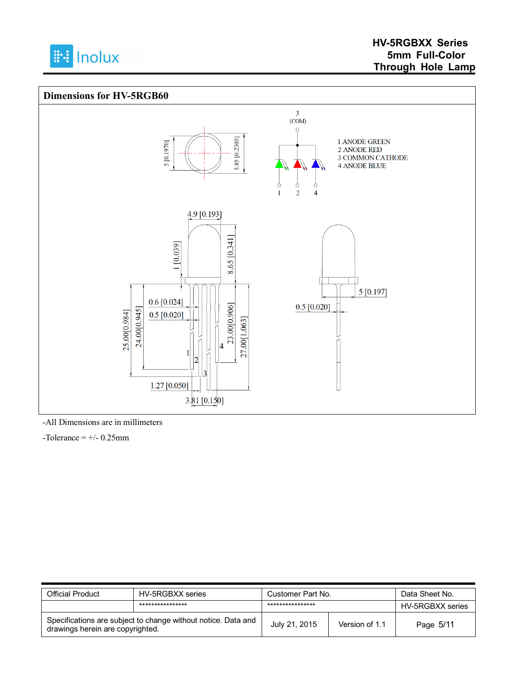



-All Dimensions are in millimeters

 $-$ Tolerance =  $+/$ - 0.25mm

| Official Product                                                                                  | HV-5RGBXX series | Customer Part No. |                | Data Sheet No.   |
|---------------------------------------------------------------------------------------------------|------------------|-------------------|----------------|------------------|
|                                                                                                   | **************** | ****************  |                | HV-5RGBXX series |
| Specifications are subject to change without notice. Data and<br>drawings herein are copyrighted. |                  | July 21, 2015     | Version of 1.1 | Page 5/11        |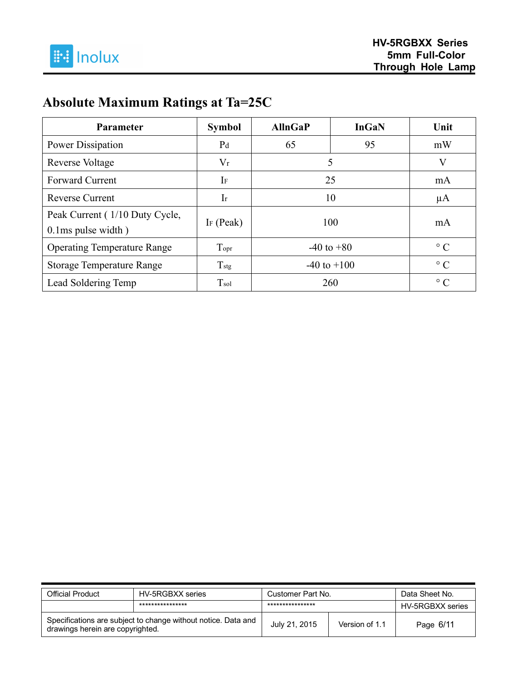# **Absolute Maximum Ratings at Ta=25C**

| <b>Parameter</b>                                           | <b>Symbol</b>    | <b>AllnGaP</b>  | <b>InGaN</b> | Unit      |
|------------------------------------------------------------|------------------|-----------------|--------------|-----------|
| Power Dissipation                                          | P <sub>d</sub>   | 65              | 95           | mW        |
| Reverse Voltage                                            | $V_r$            |                 | 5            | V         |
| <b>Forward Current</b>                                     | IF               | 25              |              | mA        |
| <b>Reverse Current</b>                                     | $\rm Ir$         | 10              |              | $\mu A$   |
| Peak Current (1/10 Duty Cycle,<br>$0.1$ ms pulse width $)$ | IF $(Peak)$      | 100             |              | mA        |
| <b>Operating Temperature Range</b>                         | Topr             | $-40$ to $+80$  |              | $\circ$ C |
| <b>Storage Temperature Range</b>                           | $T_{\text{stg}}$ | $-40$ to $+100$ |              | $\circ$ C |
| Lead Soldering Temp                                        | $T_{sol}$        | 260             |              | $\circ$ C |

| <b>Official Product</b>                                                                           | HV-5RGBXX series | Customer Part No. |                | Data Sheet No.   |
|---------------------------------------------------------------------------------------------------|------------------|-------------------|----------------|------------------|
|                                                                                                   | **************** | ****************  |                | HV-5RGBXX series |
| Specifications are subject to change without notice. Data and<br>drawings herein are copyrighted. |                  | July 21, 2015     | Version of 1.1 | Page 6/11        |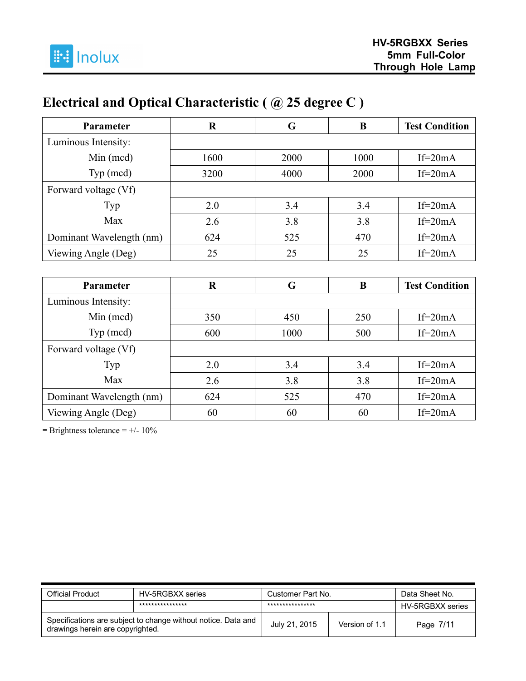# **Electrical and Optical Characteristic ( @ 25 degree C )**

| Parameter                | $\bf R$     | G    | B        | <b>Test Condition</b> |
|--------------------------|-------------|------|----------|-----------------------|
| Luminous Intensity:      |             |      |          |                       |
| Min (mcd)                | 1600        | 2000 | 1000     | $If=20mA$             |
| Typ (mcd)                | 3200        | 4000 | 2000     | $If=20mA$             |
| Forward voltage (Vf)     |             |      |          |                       |
| Typ                      | 2.0         | 3.4  | 3.4      | $If=20mA$             |
| Max                      | 2.6         | 3.8  | 3.8      | $If=20mA$             |
| Dominant Wavelength (nm) | 624         | 525  | 470      | $If=20mA$             |
| Viewing Angle (Deg)      | 25          | 25   | 25       | $If=20mA$             |
|                          |             |      |          |                       |
| Parameter                | $\mathbf R$ | G    | $\bf{B}$ | <b>Test Condition</b> |
| Luminous Intensity:      |             |      |          |                       |
| Min (mcd)                | 350         | 450  | 250      | $If=20mA$             |
| Typ (mcd)                | 600         | 1000 | 500      | $If=20mA$             |
| Forward voltage (Vf)     |             |      |          |                       |
| Typ                      | 2.0         | 3.4  | 3.4      | If= $20mA$            |
| Max                      | 2.6         | 3.8  | 3.8      | $If=20mA$             |
| Dominant Wavelength (nm) | 624         | 525  | 470      | $If=20mA$             |
| Viewing Angle (Deg)      | 60          | 60   | 60       | $If=20mA$             |

**-** Brightness tolerance = +/- 10%

| Official Product                                                                                  | HV-5RGBXX series | Customer Part No. |                | Data Sheet No.   |
|---------------------------------------------------------------------------------------------------|------------------|-------------------|----------------|------------------|
|                                                                                                   | **************** | ****************  |                | HV-5RGBXX series |
| Specifications are subject to change without notice. Data and<br>drawings herein are copyrighted. |                  | July 21, 2015     | Version of 1.1 | Page 7/11        |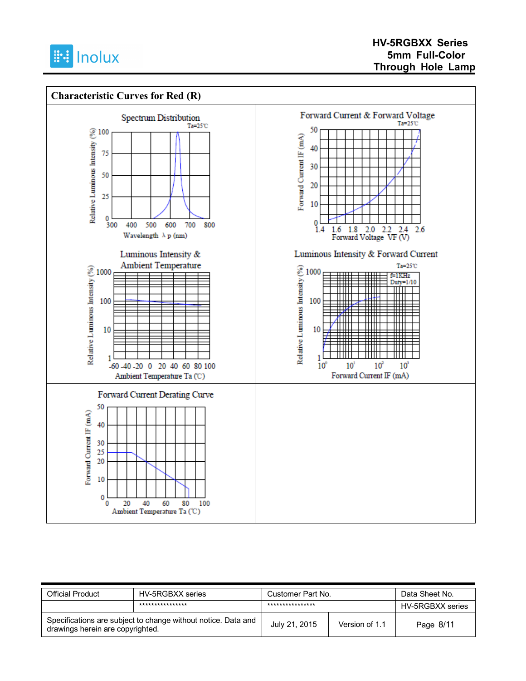



| Official Product                                                                                  | HV-5RGBXX series | Customer Part No. |                | Data Sheet No.   |
|---------------------------------------------------------------------------------------------------|------------------|-------------------|----------------|------------------|
|                                                                                                   | **************** | ****************  |                | HV-5RGBXX series |
| Specifications are subject to change without notice. Data and<br>drawings herein are copyrighted. |                  | July 21, 2015     | Version of 1.1 | Page 8/11        |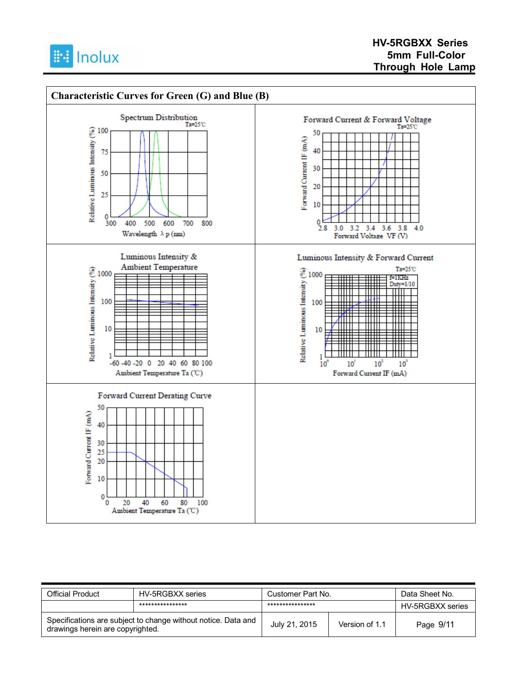



| <b>Official Product</b>                                                                           | HV-5RGBXX series | Customer Part No. |                | Data Sheet No.   |
|---------------------------------------------------------------------------------------------------|------------------|-------------------|----------------|------------------|
|                                                                                                   | **************** | ****************  |                | HV-5RGBXX series |
| Specifications are subject to change without notice. Data and<br>drawings herein are copyrighted. |                  | July 21, 2015     | Version of 1.1 | Page 9/11        |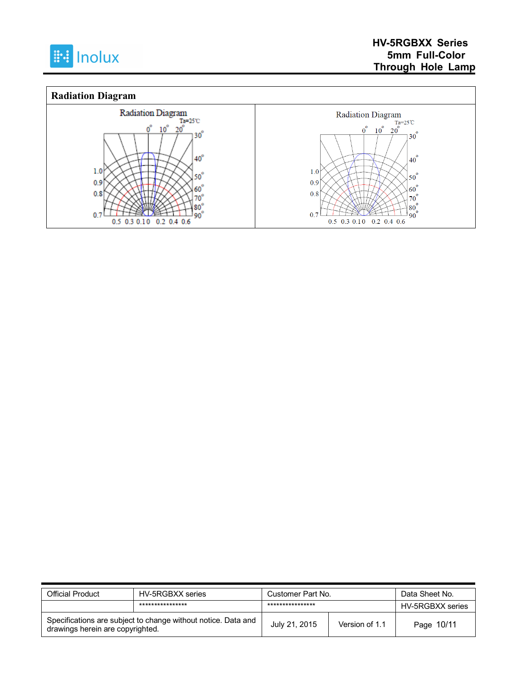



| <b>Official Product</b>                                                                           | HV-5RGBXX series | Customer Part No. |                | Data Sheet No.   |
|---------------------------------------------------------------------------------------------------|------------------|-------------------|----------------|------------------|
|                                                                                                   | **************** | ****************  |                | HV-5RGBXX series |
| Specifications are subject to change without notice. Data and<br>drawings herein are copyrighted. |                  | July 21, 2015     | Version of 1.1 | Page 10/11       |